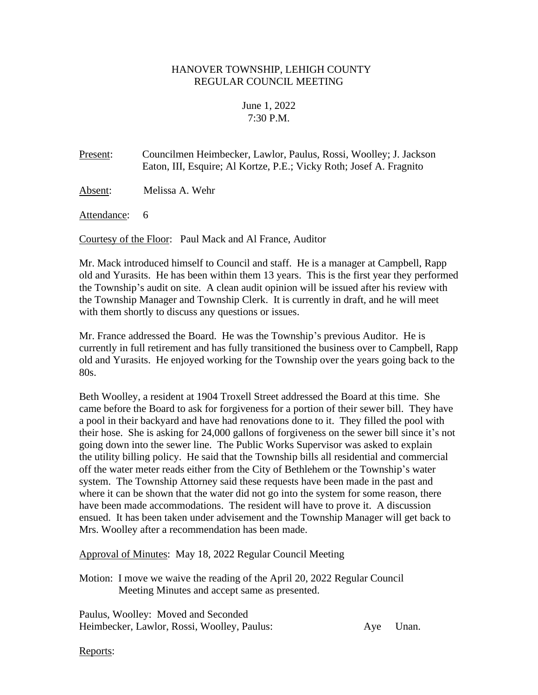## HANOVER TOWNSHIP, LEHIGH COUNTY REGULAR COUNCIL MEETING

## June 1, 2022 7:30 P.M.

Present: Councilmen Heimbecker, Lawlor, Paulus, Rossi, Woolley; J. Jackson Eaton, III, Esquire; Al Kortze, P.E.; Vicky Roth; Josef A. Fragnito

Absent: Melissa A. Wehr

Attendance: 6

Courtesy of the Floor: Paul Mack and Al France, Auditor

Mr. Mack introduced himself to Council and staff. He is a manager at Campbell, Rapp old and Yurasits. He has been within them 13 years. This is the first year they performed the Township's audit on site. A clean audit opinion will be issued after his review with the Township Manager and Township Clerk. It is currently in draft, and he will meet with them shortly to discuss any questions or issues.

Mr. France addressed the Board. He was the Township's previous Auditor. He is currently in full retirement and has fully transitioned the business over to Campbell, Rapp old and Yurasits. He enjoyed working for the Township over the years going back to the 80s.

Beth Woolley, a resident at 1904 Troxell Street addressed the Board at this time. She came before the Board to ask for forgiveness for a portion of their sewer bill. They have a pool in their backyard and have had renovations done to it. They filled the pool with their hose. She is asking for 24,000 gallons of forgiveness on the sewer bill since it's not going down into the sewer line. The Public Works Supervisor was asked to explain the utility billing policy. He said that the Township bills all residential and commercial off the water meter reads either from the City of Bethlehem or the Township's water system. The Township Attorney said these requests have been made in the past and where it can be shown that the water did not go into the system for some reason, there have been made accommodations. The resident will have to prove it. A discussion ensued. It has been taken under advisement and the Township Manager will get back to Mrs. Woolley after a recommendation has been made.

Approval of Minutes: May 18, 2022 Regular Council Meeting

Motion: I move we waive the reading of the April 20, 2022 Regular Council Meeting Minutes and accept same as presented.

Paulus, Woolley: Moved and Seconded Heimbecker, Lawlor, Rossi, Woolley, Paulus: Aye Unan.

Reports: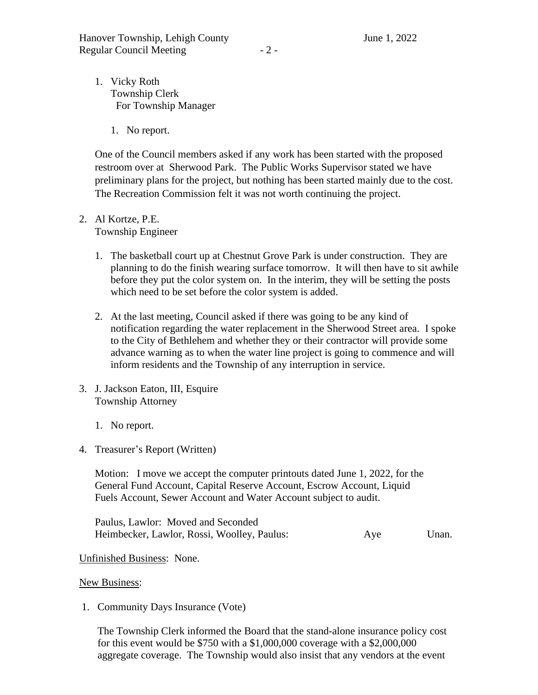- 1. Vicky Roth Township Clerk For Township Manager
	- 1. No report.

One of the Council members asked if any work has been started with the proposed restroom over at Sherwood Park. The Public Works Supervisor stated we have preliminary plans for the project, but nothing has been started mainly due to the cost. The Recreation Commission felt it was not worth continuing the project.

- 2. Al Kortze, P.E. Township Engineer
	- 1. The basketball court up at Chestnut Grove Park is under construction. They are planning to do the finish wearing surface tomorrow. It will then have to sit awhile before they put the color system on. In the interim, they will be setting the posts which need to be set before the color system is added.
	- 2. At the last meeting, Council asked if there was going to be any kind of notification regarding the water replacement in the Sherwood Street area. I spoke to the City of Bethlehem and whether they or their contractor will provide some advance warning as to when the water line project is going to commence and will inform residents and the Township of any interruption in service.
- 3. J. Jackson Eaton, III, Esquire Township Attorney
	- 1. No report.
- 4. Treasurer's Report (Written)

Motion: I move we accept the computer printouts dated June 1, 2022, for the General Fund Account, Capital Reserve Account, Escrow Account, Liquid Fuels Account, Sewer Account and Water Account subject to audit.

Paulus, Lawlor: Moved and Seconded Heimbecker, Lawlor, Rossi, Woolley, Paulus: Aye Unan.

## Unfinished Business: None.

## New Business:

1. Community Days Insurance (Vote)

The Township Clerk informed the Board that the stand-alone insurance policy cost for this event would be \$750 with a \$1,000,000 coverage with a \$2,000,000 aggregate coverage. The Township would also insist that any vendors at the event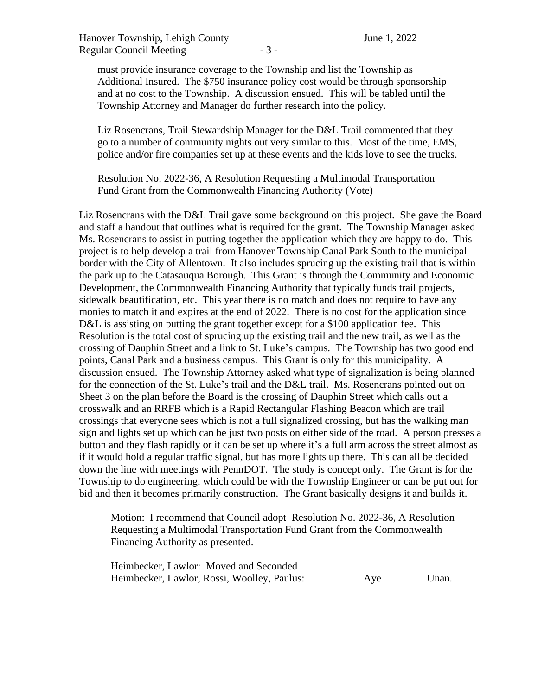must provide insurance coverage to the Township and list the Township as Additional Insured. The \$750 insurance policy cost would be through sponsorship and at no cost to the Township. A discussion ensued. This will be tabled until the Township Attorney and Manager do further research into the policy.

Liz Rosencrans, Trail Stewardship Manager for the D&L Trail commented that they go to a number of community nights out very similar to this. Most of the time, EMS, police and/or fire companies set up at these events and the kids love to see the trucks.

Resolution No. 2022-36, A Resolution Requesting a Multimodal Transportation Fund Grant from the Commonwealth Financing Authority (Vote)

Liz Rosencrans with the D&L Trail gave some background on this project. She gave the Board and staff a handout that outlines what is required for the grant. The Township Manager asked Ms. Rosencrans to assist in putting together the application which they are happy to do. This project is to help develop a trail from Hanover Township Canal Park South to the municipal border with the City of Allentown. It also includes sprucing up the existing trail that is within the park up to the Catasauqua Borough. This Grant is through the Community and Economic Development, the Commonwealth Financing Authority that typically funds trail projects, sidewalk beautification, etc. This year there is no match and does not require to have any monies to match it and expires at the end of 2022. There is no cost for the application since D&L is assisting on putting the grant together except for a \$100 application fee. This Resolution is the total cost of sprucing up the existing trail and the new trail, as well as the crossing of Dauphin Street and a link to St. Luke's campus. The Township has two good end points, Canal Park and a business campus. This Grant is only for this municipality. A discussion ensued. The Township Attorney asked what type of signalization is being planned for the connection of the St. Luke's trail and the D&L trail. Ms. Rosencrans pointed out on Sheet 3 on the plan before the Board is the crossing of Dauphin Street which calls out a crosswalk and an RRFB which is a Rapid Rectangular Flashing Beacon which are trail crossings that everyone sees which is not a full signalized crossing, but has the walking man sign and lights set up which can be just two posts on either side of the road. A person presses a button and they flash rapidly or it can be set up where it's a full arm across the street almost as if it would hold a regular traffic signal, but has more lights up there. This can all be decided down the line with meetings with PennDOT. The study is concept only. The Grant is for the Township to do engineering, which could be with the Township Engineer or can be put out for bid and then it becomes primarily construction. The Grant basically designs it and builds it.

Motion: I recommend that Council adopt Resolution No. 2022-36, A Resolution Requesting a Multimodal Transportation Fund Grant from the Commonwealth Financing Authority as presented.

| Heimbecker, Lawlor: Moved and Seconded      |     |       |
|---------------------------------------------|-----|-------|
| Heimbecker, Lawlor, Rossi, Woolley, Paulus: | Aye | Unan. |